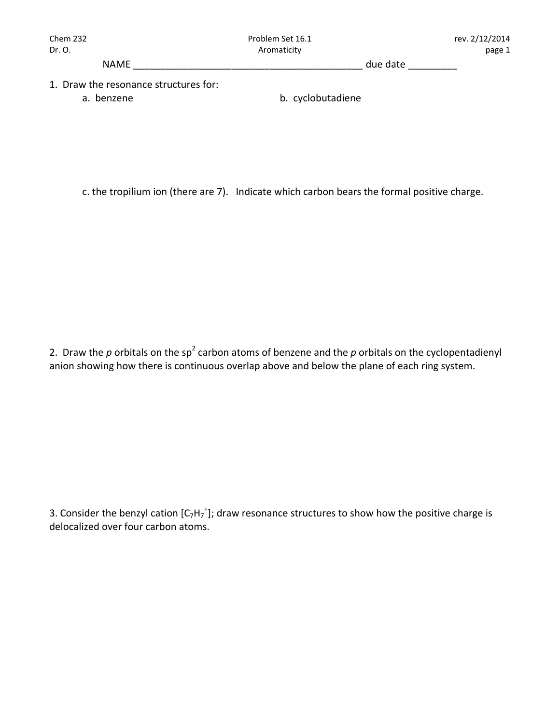NAME \_\_\_\_\_\_\_\_\_\_\_\_\_\_\_\_\_\_\_\_\_\_\_\_\_\_\_\_\_\_\_\_\_\_\_\_\_\_\_\_\_\_ due date \_\_\_\_\_\_\_\_\_

- 1. Draw the resonance structures for:
	-

a. benzene **b.** cyclobutadiene

c. the tropilium ion (there are 7). Indicate which carbon bears the formal positive charge.

2. Draw the  $p$  orbitals on the sp<sup>2</sup> carbon atoms of benzene and the  $p$  orbitals on the cyclopentadienyl anion showing how there is continuous overlap above and below the plane of each ring system.

3. Consider the benzyl cation [C<sub>7</sub>H<sub>7</sub><sup>+</sup>]; draw resonance structures to show how the positive charge is delocalized over four carbon atoms.